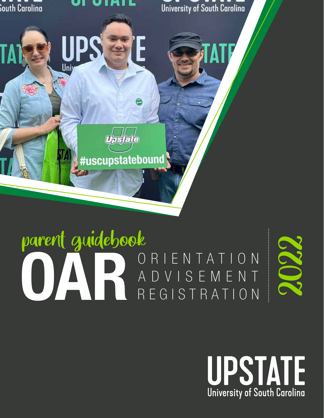

### OARIENTATION<br>ADVISEMENT<br>REGISTRATION ADVISEMENT REGISTRATION parent guidebook



2022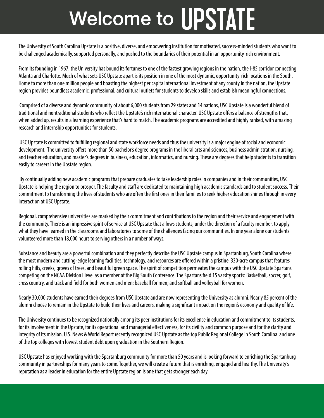# Welcome to UPSTATE

The University of South Carolina Upstate is a positive, diverse, and empowering institution for motivated, success-minded students who want to be challenged academically, supported personally, and pushed to the boundaries of their potential in an opportunity-rich environment.

From its founding in 1967, the University has bound its fortunes to one of the fastest growing regions in the nation, the I-85 corridor connecting Atlanta and Charlotte. Much of what sets USC Upstate apart is its position in one of the most dynamic, opportunity-rich locations in the South. Home to more than one million people and boasting the highest per capita international investment of any county in the nation, the Upstate region provides boundless academic, professional, and cultural outlets for students to develop skills and establish meaningful connections.

 Comprised of a diverse and dynamic community of about 6,000 students from 29 states and 14 nations, USC Upstate is a wonderful blend of traditional and nontraditional students who reflect the Upstate's rich international character. USC Upstate offers a balance of strengths that, when added up, results in a learning experience that's hard to match. The academic programs are accredited and highly ranked, with amazing research and internship opportunities for students.

 USC Upstate is committed to fulfilling regional and state workforce needs and thus the university is a major engine of social and economic development. The university offers more than 50 bachelor's degree programs in the liberal arts and sciences, business administration, nursing, and teacher education, and master's degrees in business, education, informatics, and nursing. These are degrees that help students to transition easily to careers in the Upstate region.

 By continually adding new academic programs that prepare graduates to take leadership roles in companies and in their communities, USC Upstate is helping the region to prosper. The faculty and staff are dedicated to maintaining high academic standards and to student success. Their commitment to transforming the lives of students who are often the first ones in their families to seek higher education shines through in every interaction at USC Upstate.

Regional, comprehensive universities are marked by their commitment and contributions to the region and their service and engagement with the community. There is an impressive spirit of service at USC Upstate that allows students, under the direction of a faculty member, to apply what they have learned in the classrooms and laboratories to some of the challenges facing our communities. In one year alone our students volunteered more than 18,000 hours to serving others in a number of ways.

Substance and beauty are a powerful combination and they perfectly describe the USC Upstate campus in Spartanburg, South Carolina where the most modern and cutting-edge learning facilities, technology, and resources are offered within a pristine, 330-acre campus that features rolling hills, creeks, groves of trees, and beautiful green space. The spirit of competition permeates the campus with the USC Upstate Spartans competing on the NCAA Division I level as a member of the Big South Conference. The Spartans field 15 varsity sports: Basketball, soccer, golf, cross country, and track and field for both women and men; baseball for men; and softball and volleyball for women.

Nearly 30,000 students have earned their degrees from USC Upstate and are now representing the University as alumni. Nearly 85 percent of the alumni choose to remain in the Upstate to build their lives and careers, making a significant impact on the region's economy and quality of life.

The University continues to be recognized nationally among its peer institutions for its excellence in education and commitment to its students, for its involvement in the Upstate, for its operational and managerial effectiveness, for its civility and common purpose and for the clarity and integrity of its mission. U.S. News & World Report recently recognized USC Upstate as the top Public Regional College in South Carolina and one of the top colleges with lowest student debt upon graduation in the Southern Region.

USC Upstate has enjoyed working with the Spartanburg community for more than 50 years and is looking forward to enriching the Spartanburg community in partnerships for many years to come. Together, we will create a future that is enriching, engaged and healthy. The University's reputation as a leader in education for the entire Upstate region is one that gets stronger each day.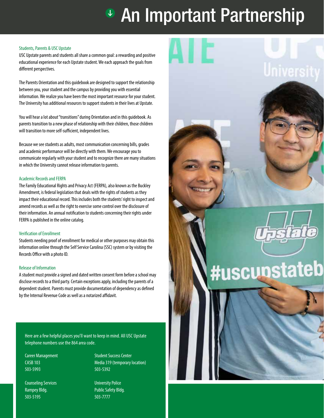## <sup>®</sup> An Important Partnership

#### Students, Parents & USC Upstate

USC Upstate parents and students all share a common goal: a rewarding and positive educational experience for each Upstate student. We each approach the goals from different perspectives.

The Parents Orientation and this guidebook are designed to support the relationship between you, your student and the campus by providing you with essential information. We realize you have been the most important resource for your student. The University has additional resources to support students in their lives at Upstate.

You will hear a lot about "transitions" during Orientation and in this guidebook. As parents transition to a new phase of relationship with their children, those children will transition to more self-sufficient, independent lives.

Because we see students as adults, most communication concerning bills, grades and academic performance will be directly with them. We encourage you to communicate regularly with your student and to recognize there are many situations in which the University cannot release information to parents.

#### Academic Records and FERPA

The Family Educational Rights and Privacy Act (FERPA), also known as the Buckley Amendment, is federal legislation that deals with the rights of students as they impact their educational record. This includes both the students' right to inspect and amend records as well as the right to exercise some control over the disclosure of their information. An annual notification to students concerning their rights under FERPA is published in the online catalog.

#### Verification of Enrollment

Students needing proof of enrollment for medical or other purposes may obtain this information online through the Self Service Carolina (SSC) system or by visiting the Records Office with a photo ID.

#### Release of Information

A student must provide a signed and dated written consent form before a school may disclose records to a third party. Certain exceptions apply, including the parents of a dependent student. Parents must provide documentation of dependency as defined by the Internal Revenue Code as well as a notarized affidavit.

Here are a few helpful places you'll want to keep in mind. All USC Upstate telephone numbers use the 864 area code.

Career Management CASB 103 503-5993

Counseling Services Rampey Bldg. 503-5195

Student Success Center Media 319 (temporary location) 503-5392

University Police Public Safety Bldg. 503-7777

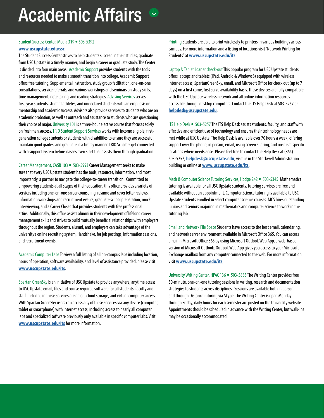### Academic Affairs  $\mathbb{L}$

#### Student Success Center, Media 319 • 503-5392

#### **www.uscupstate.edu/ssc**

The Student Success Center strives to help students succeed in their studies, graduate from USC Upstate in a timely manner, and begin a career or graduate study. The Center is divided into four main areas. Academic Support provides students with the tools and resources needed to make a smooth transition into college. Academic Support offers free tutoring, Supplemental Instruction, study group facilitation, one-on-one consultations, service referrals, and various workshops and seminars on study skills, time management, note taking, and reading strategies. Advising Services serves first-year students, student athletes, and undeclared students with an emphasis on mentorship and academic success. Advisors also provide services to students who are on academic probation, as well as outreach and assistance to students who are questioning their choice of major. University 101 is a three-hour elective course that focuses solely on freshman success. TRIO Student Support Services works with income eligible, firstgeneration college students or students with disabilities to ensure they are successful, maintain good grades, and graduate in a timely manner. TRIO Scholars get connected with a support system before classes even start that assists them through graduation.

Career Management, CASB 103 • 503-5993 Career Management seeks to make sure that every USC Upstate student has the tools, resources, information, and most importantly, a partner to navigate the college-to-career transition. Committed to empowering students at all stages of their education, this office provides a variety of services including one-on-one career counseling, resume and cover letter reviews, information workshops and recruitment events, graduate school preparation, mock interviewing, and a Career Closet that provides students with free professional attire. Additionally, this office assists alumni in their development of lifelong career management skills and strives to build mutually beneficial relationships with employers throughout the region. Students, alumni, and employers can take advantage of the university's online recruiting system, Handshake, for job postings, information sessions, and recruitment events.

Academic Computer Labs To view a full listing of all on-campus labs including location, hours of operation, software availability, and level of assistance provided, please visit **www.uscupstate.edu/its**.

Spartan GreenSky is an initiative of USC Upstate to provide anywhere, anytime access to USC Upstate email, files and course required software for all students, faculty and staff. Included in these services are email, cloud storage, and virtual computer access. With Spartan GreenSky users can access any of these services via any device (computer, tablet or smartphone) with Internet access, including access to nearly all computer labs and specialized software previously only available in specific computer labs. Visit **www.uscupstate.edu/its** for more information.

Printing Students are able to print wirelessly to printers in various buildings across campus. For more information and a listing of locations visit "Network Printing for Students" at **www.uscupstate.edu/its**.

Laptop & Tablet Loaner check-out This popular program for USC Upstate students offers laptops and tablets (iPad, Android & Windows8) equipped with wireless Internet access, SpartanGreenSky, email, and Microsoft Office for check out (up to 7 days) on a first come, first serve availability basis. These devices are fully compatible with the USC Upstate wireless network and all online information resources accessible through desktop computers. Contact the ITS Help Desk at 503-5257 or **helpdesk@uscupstate.edu**.

ITS Help Desk • 503-5257 The ITS Help Desk assists students, faculty, and staff with effective and efficient use of technology and ensures their technology needs are met while at USC Upstate. The Help Desk is available over 70 hours a week, offering support over the phone, in person, email, using screen sharing, and onsite at specific locations where needs arise. Please feel free to contact the Help Desk at (864) 503-5257, **helpdesk@uscupstate.edu**, visit us in the Stockwell Administration building or online at **www.uscupstate.edu/its**.

Math & Computer Science Tutoring Services, Hodge 242 • 503-5345 Mathematics tutoring is available for all USC Upstate students. Tutoring services are free and available without an appointment. Computer Science tutoring is available to USC Upstate students enrolled in select computer science courses. MCS hires outstanding juniors and seniors majoring in mathematics and computer science to work in the tutoring lab.

Email and Network File Space Students have access to the best email, calendaring, and network server environment available in Microsoft Office 365. You can access email in Microsoft Office 365 by using Microsoft Outlook Web App, a web-based version of Microsoft Outlook. Outlook Web App gives you access to your Microsoft Exchange mailbox from any computer connected to the web. For more information visit **www.uscupstate.edu/its**.

University Writing Center, HPAC 136 • 503-5883 The Writing Center provides free 50-minute, one-on-one tutoring sessions in writing, research and documentation strategies to students across disciplines. Sessions are available both in person and through Distance Tutoring via Skype. The Writing Center is open Monday through Friday; daily hours for each semester are posted on the University website. Appointments should be scheduled in advance with the Writing Center, but walk-ins may be occasionally accommodated.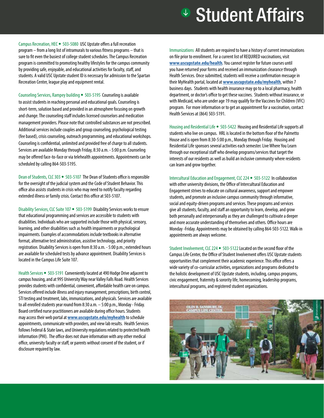### **<sup>\$</sup>** Student Affairs

Campus Recreation, HEC • 503-5080 USC Upstate offers a full recreation program – from a long list of intramurals to various fitness programs – that is sure to fit even the busiest of college student schedules. The Campus Recreation program is committed to promoting healthy lifestyles for the campus community by providing safe, enjoyable, and educational activities for faculty, staff, and students. A valid USC Upstate student ID is necessary for admission to the Spartan Recreation Center, league play and equipment rental.

Counseling Services, Rampey building • 503-5195 Counseling is available to assist students in reaching personal and educational goals. Counseling is short-term, solution based and provided in an atmosphere focusing on growth and change. The counseling staff includes licensed counselors and medication management providers. Please note that controlled substances are not prescribed. Additional services include couples and group counseling, psychological testing (fee based), crisis counseling, outreach programming, and educational workshops. Counseling is confidential, unlimited and provided free of charge to all students. Services are available Monday through Friday, 8:30 a.m. - 5:00 p.m. Counseling may be offered face-to-face or via telehealth appointments. Appointments can be scheduled by calling 864-503-5195.

Dean of Students, CLC 303 • 503-5107 The Dean of Students office is responsible for the oversight of the judicial system and the Code of Student Behavior. This office also assists students in crisis who may need to notify faculty regarding extended illness or family crisis. Contact this office at 503-5107.

Disability Services, CLC Suite 107 • 503-5199 Disability Services works to ensure that educational programming and services are accessible to students with disabilities. Individuals who are supported include those with physical, sensory, learning, and other disabilities such as health impairments or psychological impairments. Examples of accommodations include textbooks in alternative format, alternative test administration, assistive technology, and priority registration. Disability Services is open from 8:30 a.m. - 5:00 p.m.; extended hours are available for scheduled tests by advance appointment. Disability Services is located in the Campus Life Suite 107.

Health Services • 503-5191 Conveniently located at 490 Hodge Drive adjacent to campus housing, and at 995 University Way near Valley Falls Road. Health Services provides students with confidential, convenient, affordable health care on campus. Services offered include illness and injury management, prescriptions, birth control, STI testing and treatment, labs, immunizations, and physicals. Services are available to all enrolled students year round from 8:30 a.m. – 5:00 p.m., Monday - Friday. Board certified nurse practitioners are available during office hours. Students may access their web portal at **www.uscupstate.edu/myhealth** to schedule appointments, communicate with providers, and view lab results. Health Services follows Federal & State laws, and University regulations related to protected health information (PHI). The office does not share information with any other medical office, university faculty or staff, or parents without consent of the student, or if disclosure required by law.

Immunizations All students are required to have a history of current immunizations on file prior to enrollment. For a current list of REQUIRED vaccinations, visit **www.uscupstate.edu/health**. You cannot register for future courses until you have returned your forms and received an immunization clearance through Health Services. Once submitted, students will receive a confirmation message in their MyHealth portal, located at **www.uscupstate.edu/myhealth**, within 7 business days. Students with health insurance may go to a local pharmacy, health department, or doctor's office to get these vaccines. Students without insurance, or with Medicaid, who are under age 19 may qualify for the Vaccines for Children (VFC) program. For more information or to get an appointment for a vaccination, contact Health Services at (864) 503-5191.

Housing and Residential Life • 503-5422 Housing and Residential Life supports all students who live on campus. HRL is located in the bottom floor of the Palmetto House and is open from 8:30-5:00 p.m., Monday through Friday. Housing and Residential Life sponsors several activities each semester. Live Where You Learn through our exceptional staff who develop programs/services that target the interests of our residents as well as build an inclusive community where residents can learn and grow together.

Intercultural Education and Engagement, CLC 224 • 503-5122 In collaboration with other university divisions, the Office of Intercultural Education and Engagement strives to educate on cultural awareness, support and empower students, and promote an inclusive campus community through informative, social and equity-driven programs and services. These programs and services give all students, faculty, and staff an opportunity to learn, develop, and grow both personally and interpersonally as they are challenged to cultivate a deeper and more accurate understanding of themselves and others. Office hours are Monday -Friday. Appointments may be obtained by calling 864-503-5122. Walk-in appointments are always welcome.

Student Involvement, CLC 224 • 503-5122 Located on the second floor of the Campus Life Center, the Office of Student Involvement offers USC Upstate students opportunities that complement their academic experience. This office offers a wide variety of co-curricular activities, organizations and programs dedicated to the holistic development of USC Upstate students, including, campus programs, civic engagement, fraternity & sorority life, homecoming, leadership programs, intercultural programs, and registered student organizations.

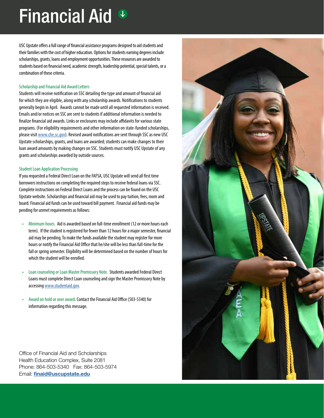## **Financial Aid &**

USC Upstate offers a full range of financial assistance programs designed to aid students and their families with the cost of higher education. Options for students earning degrees include scholarships, grants, loans and employment opportunities. These resources are awarded to students based on financial need, academic strength, leadership potential, special talents, or a combination of these criteria.

#### Scholarship and Financial Aid Award Letters

Students will receive notification on SSC detailing the type and amount of financial aid for which they are eligible, along with any scholarship awards. Notifications to students generally begin in April. Awards cannot be made until all requested information is received. Emails and/or notices on SSC are sent to students if additional information is needed to finalize financial aid awards. Links or enclosures may include affidavits for various state programs. (For eligibility requirements and other information on state-funded scholarships, please visit www.che.sc.gov). Revised award notifications are sent through SSC as new USC Upstate scholarships, grants, and loans are awarded; students can make changes to their loan award amounts by making changes on SSC. Students must notify USC Upstate of any grants and scholarships awarded by outside sources.

#### Student Loan Application Processing

If you requested a Federal Direct Loan on the FAFSA, USC Upstate will send all first time borrowers instructions on completing the required steps to receive federal loans via SSC. Complete instructions on Federal Direct Loans and the process can be found on the USC Upstate website. Scholarships and financial aid may be used to pay tuition, fees, room and board. Financial aid funds can be used toward bill payment. Financial aid funds may be pending for unmet requirements as follows:

- Minimum hours. Aid is awarded based on full-time enrollment (12 or more hours each term). If the student is registered for fewer than 12 hours for a major semester, financial aid may be pending. To make the funds available the student may register for more hours or notify the Financial Aid Office that he/she will be less than full-time for the fall or spring semester. Eligibility will be determined based on the number of hours for which the student will be enrolled.
- Loan counseling or Loan Master Promissory Note. Students awarded Federal Direct Loans must complete Direct Loan counseling and sign the Master Promissory Note by accessing www.studentaid.gov.
- Award on hold or over award. Contact the Financial Aid Office (503-5340) for information regarding this message.

Office of Financial Aid and Scholarships Health Education Complex, Suite 2081 Phone: 864-503-5340 Fax: 864-503-5974 Email: finaid@uscupstate.edu

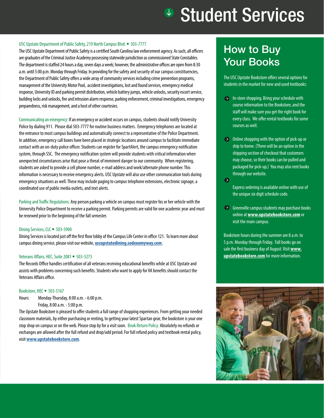### **<sup>\$</sup>** Student Services

#### USC Upstate Department of Public Safety, 219 North Campus Blvd. • 503-7777

The USC Upstate Department of Public Safety is a certified South Carolina law enforcement agency. As such, all officers are graduates of the Criminal Justice Academy possessing statewide jurisdiction as commissioned State Constables. The department is staffed 24 hours a day, seven days a week; however, the administrative offices are open from 8:30 a.m. until 5:00 p.m. Monday through Friday. In providing for the safety and security of our campus constituencies, the Department of Public Safety offers a wide array of community services including crime prevention programs, management of the University Motor Pool, accident investigations, lost and found services, emergency medical response, University ID and parking permit distribution, vehicle battery jumps, vehicle unlocks, security escort service, building locks and unlocks, fire and intrusion alarm response, parking enforcement, criminal investigations, emergency preparedness, risk management, and a host of other courtesies.

Communicating an emergency: If an emergency or accident occurs on campus, students should notify University Police by dialing 911. Please dial 503-7777 for routine business matters. Emergency telephones are located at the entrance to most campus buildings and automatically connect to a representative of the Police Department. In addition, emergency call boxes have been placed in strategic locations around campus to facilitate immediate contact with an on-duty police officer. Students can register for SpartAlert, the campus emergency notification system, through SSC. The emergency notification system will provide students with critical information when unexpected circumstances arise that pose a threat of imminent danger to our community. When registering, students are asked to provide a cell phone number, e-mail address and work/alternate phone number. This information is necessary to receive emergency alerts. USC Upstate will also use other communication tools during emergency situations as well. These may include paging to campus telephone extensions, electronic signage, a coordinated use of public media outlets, and text alerts.

Parking and Traffic Regulations: Any person parking a vehicle on campus must register his or her vehicle with the University Police Department to receive a parking permit. Parking permits are valid for one academic year and must be renewed prior to the beginning of the fall semester.

#### Dining Services, CLC • 503-5900

Dining Services is located just off the first floor lobby of the Campus Life Center in office 121. To learn more about campus dining service, please visit our website, **uscupstatedining.sodexomyway.com**.

#### Veterans Affairs, HEC, Suite 2081 • 503-5273

The Records Office handles certification of all veterans receiving educational benefits while at USC Upstate and assists with problems concerning such benefits. Students who want to apply for VA benefits should contact the Veterans Affairs office.

#### Bookstore, HEC • 503-5167

Hours: Monday-Thursday, 8:00 a.m. - 6:00 p.m.

Friday, 8:00 a.m. - 5:00 p.m.

The Upstate Bookstore is pleased to offer students a full range of shopping experiences. From getting your needed classroom materials, by either purchasing or renting, to getting your latest Spartan gear, the bookstore is your one stop shop on campus or on the web. Please stop by for a visit soon. Book Return Policy: Absolutely no refunds or exchanges are allowed after the full refund and drop/add period. For full refund policy and textbook rental policy, visit **www.upstatebookstore.com**.

### How to Buy Your Books

The USC Upstate Bookstore offers several options for students in the market for new and used textbooks:

- $\rightarrow$  In-store shopping. Bring your schedule with course information to the Bookstore, and the staff will make sure you get the right book for every class. We offer rental textbooks for some courses as well.
- $\rightarrow$  Online shopping with the option of pick-up or ship to home. (There will be an option in the shipping section of checkout that customers may choose, so their books can be pulled and packaged for pick-up.) You may also rent books through our website.
- $\Theta$

Express ordering is available online with use of the unique six digit schedule code.

 $\Theta$  Greenville campus students may purchase books online at **www.upstatebookstore.com** or visit the main campus.

Bookstore hours during the summer are 8 a.m. to 5 p.m. Monday through Friday. Fall books go on sale the first business day of August. Visit **www. upstatebookstore.com** for more information.

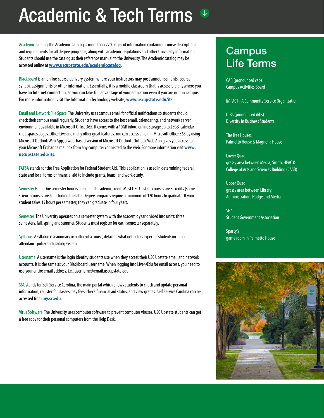## Academic & Tech Terms

Academic Catalog The Academic Catalog is more than 270 pages of information containing course descriptions<br>and requirements for all degree programs, along with academic regulations and other University information. **CampUS** Students should use the catalog as their reference manual to the University. The Academic catalog may be accessed online at **www.uscupstate.edu/academiccatalog**.

Blackboard is an online course delivery system where your instructors may post announcements, course syllabi, assignments or other information. Essentially, it is a mobile classroom that is accessible anywhere you have an Internet connection, so you can take full advantage of your education even if you are not on campus. For more information, visit the Information Technology website, **www.uscupstate.edu/its**.

Email and Network File Space The University uses campus email for official notifications so students should check their campus email regularly. Students have access to the best email, calendaring, and network server environment available in Microsoft Office 365. It comes with a 10GB inbox, online storage up to 25GB, calendar, chat, spaces pages, Office Live and many other great features. You can access email in Microsoft Office 365 by using Microsoft Outlook Web App, a web-based version of Microsoft Outlook. Outlook Web App gives you access to your Microsoft Exchange mailbox from any computer connected to the web. For more information visit **www. uscupstate.edu/its**.

FAFSA stands for the Free Application for Federal Student Aid. This application is used in determining federal, state and local forms of financial aid to include grants, loans, and work-study.

Semester Hour One semester hour is one unit of academic credit. Most USC Upstate courses are 3 credits (some science courses are 4, including the lab). Degree programs require a minimum of 120 hours to graduate. If your student takes 15 hours per semester, they can graduate in four years.

Semester The University operates on a semester system with the academic year divided into units: three semesters, fall, spring and summer. Students must register for each semester separately.

Syllabus A syllabus is a summary or outline of a course, detailing what instructors expect of students including attendance policy and grading system.

Username A username is the login identity students use when they access their USC Upstate email and network accounts. It is the same as your Blackboard username. When logging into Live@Edu for email access, you need to use your entire email address. i.e., username@email.uscupstate.edu.

SSC stands for Self Service Carolina, the main portal which allows students to check and update personal information, register for classes, pay fees, check financial aid status, and view grades. Self Service Carolina can be accessed from **my.sc.edu**.

Virus Software The University uses computer software to prevent computer viruses. USC Upstate students can get a free copy for their personal computers from the Help Desk.

### **Campus** Life Terms

CAB (pronounced cab) Campus Activities Board

IMPACT - A Community Service Organization

DIBS (pronounced dibs) Diversity in Business Students

The Tree Houses Palmetto House & Magnolia House

Lower Quad grassy area between Media, Smith, HPAC & College of Arts and Sciences Building (CASB)

Upper Quad grassy area between Library, Administration, Hodge and Media

SGA Student Government Association

Sparty's game room in Palmetto House

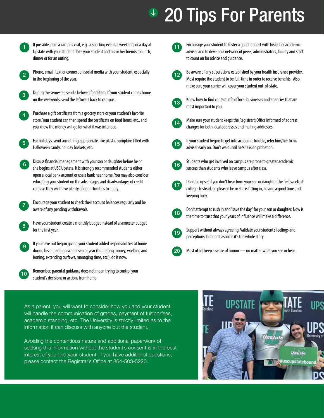## <sup>®</sup> 20 Tips For Parents

If possible, plan a campus visit, e.g., a sporting event, a weekend, or a day at Upstate with your student. Take your student and his or her friends to lunch, dinner or for an outing. 1



Phone, email, text or connect on social media with your student, especially in the beginning of the year.



During the semester, send a beloved food item. If your student comes home on the weekends, send the leftovers back to campus.

Purchase a gift certificate from a grocery store or your student's favorite store. Your student can then spend the certificate on food items, etc., and you know the money will go for what it was intended. 4



For holidays, send something appropriate, like plastic pumpkins filled with Halloween candy, holiday baskets, etc.

Discuss financial management with your son or daughter before he or she begins at USC Upstate. It is strongly recommended students either open a local bank account or use a bank near home. You may also consider educating your student on the advantages and disadvantages of credit cards as they will have plenty of opportunities to apply. 6

7

Encourage your student to check their account balances regularly and be aware of any pending withdrawals.



If you have not begun giving your student added responsibilities at home during his or her high school senior year (budgeting money, washing and ironing, extending curfews, managing time, etc.), do it now. 9



Remember, parental guidance does not mean trying to control your student's decisions or actions from home.

 $11$ 

Encourage your student to foster a good rapport with his or her academic adviser and to develop a network of peers, administrators, faculty and staff to count on for advice and guidance.



Be aware of any stipulations established by your health insurance provider. Most require the student to be full-time in order to receive benefits. Also, make sure your carrier will cover your student out-of-state.



Know how to find contact info of local businesses and agencies that are most important to you.



Make sure your student keeps the Registrar's Office informed of address changes for both local addresses and mailing addresses.

If your student begins to get into academic trouble, refer him/her to his adviser early on. Don't wait until he/she is on probation. 15



Students who get involved on campus are prone to greater academic success than students who leave campus after class.

- Don't be upset if you don't hear from your son or daughter the first week of college. Instead, be pleased he or she is fitting in, having a good time and keeping busy. 17
	- Don't attempt to rush in and "save the day" for your son or daughter. Now is the time to trust that your years of influence will make a difference.



 $18$ 

Support without always agreeing. Validate your student's feelings and perceptions, but don't assume it's the whole story.

20

Most of all, keep a sense of humor — no matter what you see or hear.

As a parent, you will want to consider how you and your student will handle the communication of grades, payment of tuition/fees, academic standing, etc. The University is strictly limited as to the information it can discuss with anyone but the student.

Avoiding the contentious nature and additional paperwork of seeking this information without the student's consent is in the best interest of you and your student. If you have additional questions, please contact the Registrar's Office at 864-503-5220.

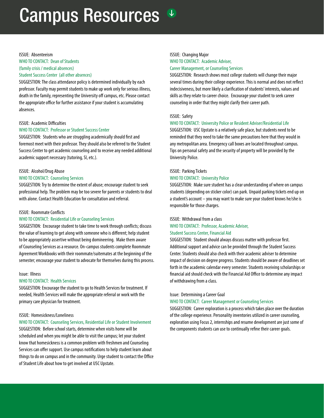### Campus Resources  $\sqrt[1]{x}$



#### WHO TO CONTACT: Dean of Students (family crisis / medical absences) Student Success Center (all other absences)

SUGGESTION: The class attendance policy is determined individually by each professor. Faculty may permit students to make up work only for serious illness, death in the family, representing the University off campus, etc. Please contact the appropriate office for further assistance if your student is accumulating absences.

#### ISSUE: Academic Difficulties

#### WHO TO CONTACT: Professor or Student Success Center

SUGGESTION: Students who are struggling academically should first and foremost meet with their professor. They should also be referred to the Student Success Center to get academic counseling and to receive any needed additional academic support necessary (tutoring, SI, etc.).

#### ISSUE: Alcohol/Drug Abuse

#### WHO TO CONTACT: Counseling Services

SUGGESTION: Try to determine the extent of abuse; encourage student to seek professional help. The problem may be too severe for parents or students to deal with alone. Contact Health Education for consultation and referral.

#### ISSUE: Roommate Conflicts

#### WHO TO CONTACT: Residential Life or Counseling Services

SUGGESTION: Encourage student to take time to work through conflicts; discuss the value of learning to get along with someone who is different; help student to be appropriately assertive without being domineering. Make them aware of Counseling Services as a resource. On-campus students complete Roommate Agreement Workbooks with their roommate/suitemates at the beginning of the semester; encourage your student to advocate for themselves during this process.

#### Issue: Illness

#### WHO TO CONTACT: Health Services

SUGGESTION: Encourage the student to go to Health Services for treatment. If needed, Health Services will make the appropriate referral or work with the primary care physician for treatment.

#### ISSUE: Homesickness/Loneliness

#### WHO TO CONTACT: Counseling Services, Residential Life or Student Involvement

SUGGESTION: Before school starts, determine when visits home will be scheduled and when you might be able to visit the campus; let your student know that homesickness is a common problem with freshmen and Counseling Services can offer support. Use campus notifications to help student learn about things to do on campus and in the community. Urge student to contact the Office of Student Life about how to get involved at USC Upstate.

#### ISSUE: Changing Major

#### WHO TO CONTACT: Academic Adviser,

#### Career Management, or Counseling Services

SUGGESTION: Research shows most college students will change their major several times during their college experience. This is normal and does not reflect indecisiveness, but more likely a clarification of students' interests, values and skills as they relate to career choice. Encourage your student to seek career counseling in order that they might clarify their career path.

#### ISSUE: Safety

#### WHO TO CONTACT: University Police or Resident Adviser/Residential Life

SUGGESTION: USC Upstate is a relatively safe place, but students need to be reminded that they need to take the same precautions here that they would in any metropolitan area. Emergency call boxes are located throughout campus. Tips on personal safety and the security of property will be provided by the University Police.

#### ISSUE: Parking Tickets

#### WHO TO CONTACT: University Police

SUGGESTION: Make sure student has a clear understanding of where on campus students (depending on sticker color) can park. Unpaid parking tickets end up on a student's account – you may want to make sure your student knows he/she is responsible for those charges.

#### ISSUE: Withdrawal from a class

#### WHO TO CONTACT: Professor, Academic Adviser, Student Success Center, Financial Aid

SUGGESTION: Student should always discuss matter with professor first. Additional support and advice can be provided through the Student Success Center. Students should also check with their academic adviser to determine impact of decision on degree progress. Students should be aware of deadlines set forth in the academic calendar every semester. Students receiving scholarships or financial aid should check with the Financial Aid Office to determine any impact of withdrawing from a class.

#### Issue: Determining a Career Goal

#### WHO TO CONTACT: Career Management or Counseling Services

SUGGESTION: Career exploration is a process which takes place over the duration of the college experience. Personality inventories utilized in career counseling, exploration using Focus 2, internships and resume development are just some of the components students can use to continually refine their career goals.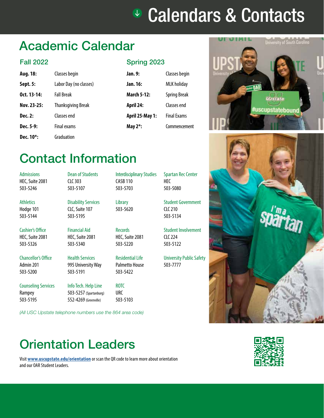### Calendars & Contacts

### Academic Calendar

#### Fall 2022

| Aug. 18:               | Classes begin             |
|------------------------|---------------------------|
| Sept. 5:               | Labor Day (no classes)    |
| $0ct. 13-14:$          | <b>Fall Break</b>         |
| Nov. 23-25:            | <b>Thanksgiving Break</b> |
| Dec. 2:                | Classes end               |
| Dec. 5-9:              | <b>Final exams</b>        |
| Dec. 10 <sup>*</sup> : | Graduation                |

#### Spring 2023

| sses begin           | Jan. 9:                | Classes begin       |
|----------------------|------------------------|---------------------|
| oor Day (no classes) | Jan. 16:               | <b>MLK</b> holiday  |
| l Break              | <b>March 5-12:</b>     | <b>Spring Break</b> |
| anksgiving Break     | April 24:              | Classes end         |
| sses end             | <b>April 25-May 1:</b> | <b>Final Exams</b>  |
| al exams             | May $2^*$ :            | Commencement        |
|                      |                        |                     |

Interdisciplinary Studies

CASB 110 503-5703

**Library** 503-5620

**Records** HEC, Suite 2081 503-5220



### Contact Information

 $C<sub>L</sub>C<sub>303</sub>$ 503-5107

Dean of Students

Disability Services CLC, Suite 107 503-5195

Admissions HEC, Suite 2081 503-5246

**Athletics** Hodge 101 503-5144

Cashier's Office HEC, Suite 2081 503-5326

Chancellor's Office Admin 201 503-5200

Rampey 503-5195

Counseling Services 503-5191 Info Tech. Help Line 503-5257 (Spartanburg)

Financial Aid HEC, Suite 2081 503-5340

Health Services 995 University Way

Palmetto House 503-5422

Residential Life

ROTC URC 503-5103

*(All USC Upstate telephone numbers use the 864 area code)*

552-4269 (Greenville)

HEC 503-5080

Spartan Rec Center

Student Government CLC 210 503-5134

Student Involvement  $(1C)$  224 503-5122

University Public Safety 503-7777



### Orientation Leaders

Visit **www.uscupstate.edu/orientation** or scan the QR code to learn more about orientation and our OAR Student Leaders.